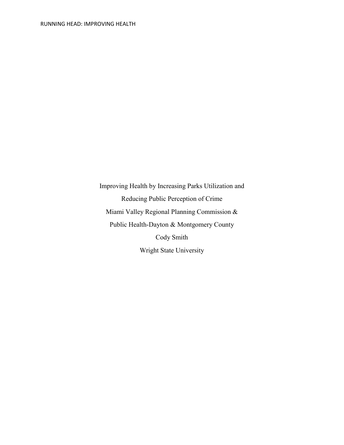Improving Health by Increasing Parks Utilization and Reducing Public Perception of Crime Miami Valley Regional Planning Commission & Public Health-Dayton & Montgomery County Cody Smith Wright State University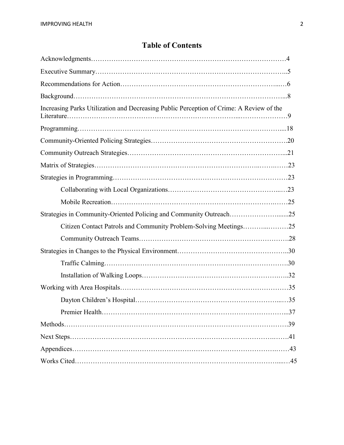# **Table of Contents**

| Increasing Parks Utilization and Decreasing Public Perception of Crime: A Review of the |
|-----------------------------------------------------------------------------------------|
|                                                                                         |
|                                                                                         |
|                                                                                         |
|                                                                                         |
|                                                                                         |
|                                                                                         |
|                                                                                         |
| Strategies in Community-Oriented Policing and Community Outreach25                      |
| Citizen Contact Patrols and Community Problem-Solving Meetings25                        |
|                                                                                         |
|                                                                                         |
|                                                                                         |
|                                                                                         |
|                                                                                         |
|                                                                                         |
|                                                                                         |
|                                                                                         |
|                                                                                         |
|                                                                                         |
|                                                                                         |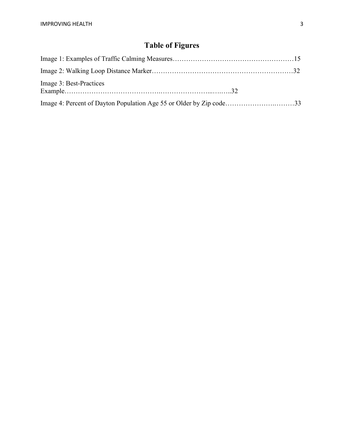# **Table of Figures**

| Image 3: Best-Practices                                             |  |
|---------------------------------------------------------------------|--|
| Image 4: Percent of Dayton Population Age 55 or Older by Zip code33 |  |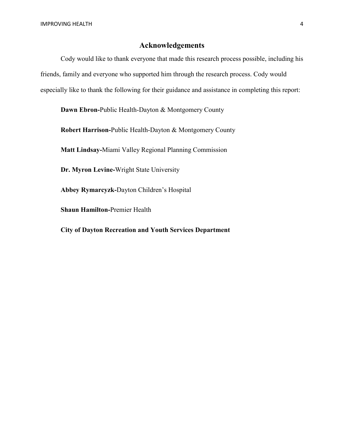# **Acknowledgements**

Cody would like to thank everyone that made this research process possible, including his friends, family and everyone who supported him through the research process. Cody would especially like to thank the following for their guidance and assistance in completing this report:

**Dawn Ebron-**Public Health-Dayton & Montgomery County

**Robert Harrison-**Public Health-Dayton & Montgomery County

**Matt Lindsay-**Miami Valley Regional Planning Commission

**Dr. Myron Levine-**Wright State University

**Abbey Rymarcyzk-**Dayton Children's Hospital

**Shaun Hamilton-**Premier Health

**City of Dayton Recreation and Youth Services Department**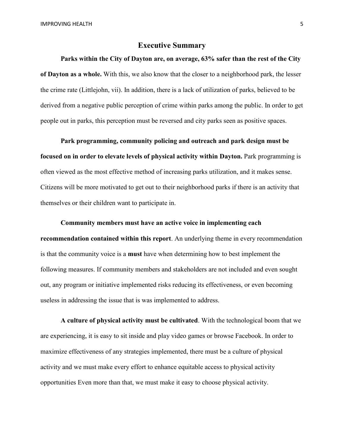#### **Executive Summary**

**Parks within the City of Dayton are, on average, 63% safer than the rest of the City of Dayton as a whole.** With this, we also know that the closer to a neighborhood park, the lesser the crime rate (Littlejohn, vii). In addition, there is a lack of utilization of parks, believed to be derived from a negative public perception of crime within parks among the public. In order to get people out in parks, this perception must be reversed and city parks seen as positive spaces.

**Park programming, community policing and outreach and park design must be focused on in order to elevate levels of physical activity within Dayton.** Park programming is often viewed as the most effective method of increasing parks utilization, and it makes sense. Citizens will be more motivated to get out to their neighborhood parks if there is an activity that themselves or their children want to participate in.

**Community members must have an active voice in implementing each recommendation contained within this report**. An underlying theme in every recommendation is that the community voice is a **must** have when determining how to best implement the following measures. If community members and stakeholders are not included and even sought out, any program or initiative implemented risks reducing its effectiveness, or even becoming useless in addressing the issue that is was implemented to address.

**A culture of physical activity must be cultivated**. With the technological boom that we are experiencing, it is easy to sit inside and play video games or browse Facebook. In order to maximize effectiveness of any strategies implemented, there must be a culture of physical activity and we must make every effort to enhance equitable access to physical activity opportunities Even more than that, we must make it easy to choose physical activity.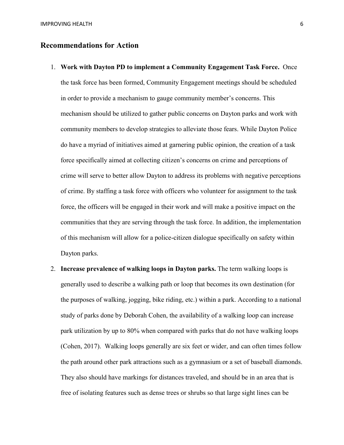#### **Recommendations for Action**

- 1. **Work with Dayton PD to implement a Community Engagement Task Force.** Once the task force has been formed, Community Engagement meetings should be scheduled in order to provide a mechanism to gauge community member's concerns. This mechanism should be utilized to gather public concerns on Dayton parks and work with community members to develop strategies to alleviate those fears. While Dayton Police do have a myriad of initiatives aimed at garnering public opinion, the creation of a task force specifically aimed at collecting citizen's concerns on crime and perceptions of crime will serve to better allow Dayton to address its problems with negative perceptions of crime. By staffing a task force with officers who volunteer for assignment to the task force, the officers will be engaged in their work and will make a positive impact on the communities that they are serving through the task force. In addition, the implementation of this mechanism will allow for a police-citizen dialogue specifically on safety within Dayton parks.
- 2. **Increase prevalence of walking loops in Dayton parks.** The term walking loops is generally used to describe a walking path or loop that becomes its own destination (for the purposes of walking, jogging, bike riding, etc.) within a park. According to a national study of parks done by Deborah Cohen, the availability of a walking loop can increase park utilization by up to 80% when compared with parks that do not have walking loops (Cohen, 2017). Walking loops generally are six feet or wider, and can often times follow the path around other park attractions such as a gymnasium or a set of baseball diamonds. They also should have markings for distances traveled, and should be in an area that is free of isolating features such as dense trees or shrubs so that large sight lines can be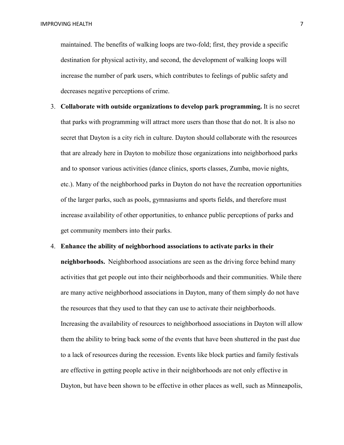IMPROVING HEALTH 7 NOTES AND THE RESERVE TO A 2 YO F RESERVE TO A 2 YO F RESERVE TO A 2 YO F RESERVE TO A 2 YO F RESERVE TO A 2 YO F RESERVE TO A 2 YO F RESERVE TO A 2 YO F RESERVE TO A 2 YO F RESERVE TO A 2 YO F RESERVE T

maintained. The benefits of walking loops are two-fold; first, they provide a specific destination for physical activity, and second, the development of walking loops will increase the number of park users, which contributes to feelings of public safety and decreases negative perceptions of crime.

3. **Collaborate with outside organizations to develop park programming.** It is no secret that parks with programming will attract more users than those that do not. It is also no secret that Dayton is a city rich in culture. Dayton should collaborate with the resources that are already here in Dayton to mobilize those organizations into neighborhood parks and to sponsor various activities (dance clinics, sports classes, Zumba, movie nights, etc.). Many of the neighborhood parks in Dayton do not have the recreation opportunities of the larger parks, such as pools, gymnasiums and sports fields, and therefore must increase availability of other opportunities, to enhance public perceptions of parks and get community members into their parks.

#### 4. **Enhance the ability of neighborhood associations to activate parks in their**

**neighborhoods.** Neighborhood associations are seen as the driving force behind many activities that get people out into their neighborhoods and their communities. While there are many active neighborhood associations in Dayton, many of them simply do not have the resources that they used to that they can use to activate their neighborhoods. Increasing the availability of resources to neighborhood associations in Dayton will allow them the ability to bring back some of the events that have been shuttered in the past due to a lack of resources during the recession. Events like block parties and family festivals are effective in getting people active in their neighborhoods are not only effective in Dayton, but have been shown to be effective in other places as well, such as Minneapolis,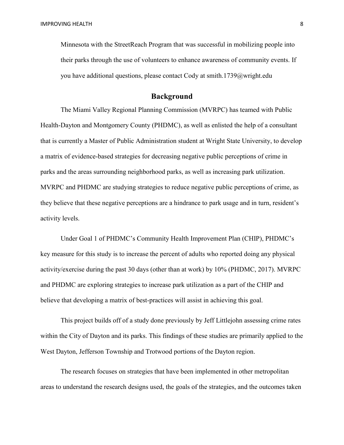Minnesota with the StreetReach Program that was successful in mobilizing people into their parks through the use of volunteers to enhance awareness of community events. If you have additional questions, please contact Cody at smith.1739@wright.edu

## **Background**

The Miami Valley Regional Planning Commission (MVRPC) has teamed with Public Health-Dayton and Montgomery County (PHDMC), as well as enlisted the help of a consultant that is currently a Master of Public Administration student at Wright State University, to develop a matrix of evidence-based strategies for decreasing negative public perceptions of crime in parks and the areas surrounding neighborhood parks, as well as increasing park utilization. MVRPC and PHDMC are studying strategies to reduce negative public perceptions of crime, as they believe that these negative perceptions are a hindrance to park usage and in turn, resident's activity levels.

Under Goal 1 of PHDMC's Community Health Improvement Plan (CHIP), PHDMC's key measure for this study is to increase the percent of adults who reported doing any physical activity/exercise during the past 30 days (other than at work) by 10% (PHDMC, 2017). MVRPC and PHDMC are exploring strategies to increase park utilization as a part of the CHIP and believe that developing a matrix of best-practices will assist in achieving this goal.

This project builds off of a study done previously by Jeff Littlejohn assessing crime rates within the City of Dayton and its parks. This findings of these studies are primarily applied to the West Dayton, Jefferson Township and Trotwood portions of the Dayton region.

The research focuses on strategies that have been implemented in other metropolitan areas to understand the research designs used, the goals of the strategies, and the outcomes taken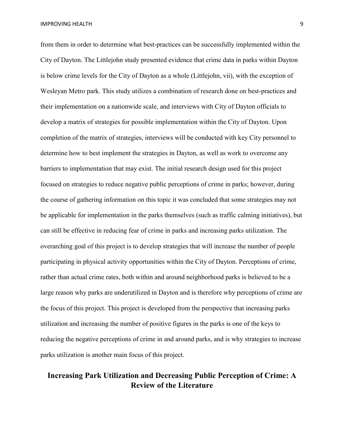from them in order to determine what best-practices can be successfully implemented within the City of Dayton. The Littlejohn study presented evidence that crime data in parks within Dayton is below crime levels for the City of Dayton as a whole (Littlejohn, vii), with the exception of Wesleyan Metro park. This study utilizes a combination of research done on best-practices and their implementation on a nationwide scale, and interviews with City of Dayton officials to develop a matrix of strategies for possible implementation within the City of Dayton. Upon completion of the matrix of strategies, interviews will be conducted with key City personnel to determine how to best implement the strategies in Dayton, as well as work to overcome any barriers to implementation that may exist. The initial research design used for this project focused on strategies to reduce negative public perceptions of crime in parks; however, during the course of gathering information on this topic it was concluded that some strategies may not be applicable for implementation in the parks themselves (such as traffic calming initiatives), but can still be effective in reducing fear of crime in parks and increasing parks utilization. The overarching goal of this project is to develop strategies that will increase the number of people participating in physical activity opportunities within the City of Dayton. Perceptions of crime, rather than actual crime rates, both within and around neighborhood parks is believed to be a large reason why parks are underutilized in Dayton and is therefore why perceptions of crime are the focus of this project. This project is developed from the perspective that increasing parks utilization and increasing the number of positive figures in the parks is one of the keys to reducing the negative perceptions of crime in and around parks, and is why strategies to increase parks utilization is another main focus of this project.

# **Increasing Park Utilization and Decreasing Public Perception of Crime: A Review of the Literature**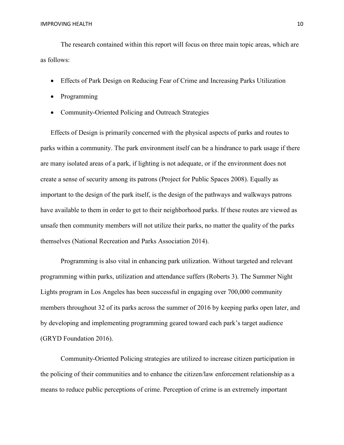The research contained within this report will focus on three main topic areas, which are as follows:

- Effects of Park Design on Reducing Fear of Crime and Increasing Parks Utilization
- Programming
- Community-Oriented Policing and Outreach Strategies

Effects of Design is primarily concerned with the physical aspects of parks and routes to parks within a community. The park environment itself can be a hindrance to park usage if there are many isolated areas of a park, if lighting is not adequate, or if the environment does not create a sense of security among its patrons (Project for Public Spaces 2008). Equally as important to the design of the park itself, is the design of the pathways and walkways patrons have available to them in order to get to their neighborhood parks. If these routes are viewed as unsafe then community members will not utilize their parks, no matter the quality of the parks themselves (National Recreation and Parks Association 2014).

Programming is also vital in enhancing park utilization. Without targeted and relevant programming within parks, utilization and attendance suffers (Roberts 3). The Summer Night Lights program in Los Angeles has been successful in engaging over 700,000 community members throughout 32 of its parks across the summer of 2016 by keeping parks open later, and by developing and implementing programming geared toward each park's target audience (GRYD Foundation 2016).

Community-Oriented Policing strategies are utilized to increase citizen participation in the policing of their communities and to enhance the citizen/law enforcement relationship as a means to reduce public perceptions of crime. Perception of crime is an extremely important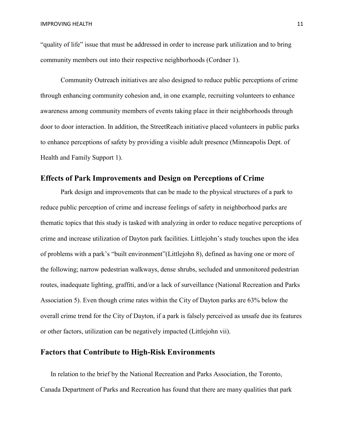"quality of life" issue that must be addressed in order to increase park utilization and to bring community members out into their respective neighborhoods (Cordner 1).

Community Outreach initiatives are also designed to reduce public perceptions of crime through enhancing community cohesion and, in one example, recruiting volunteers to enhance awareness among community members of events taking place in their neighborhoods through door to door interaction. In addition, the StreetReach initiative placed volunteers in public parks to enhance perceptions of safety by providing a visible adult presence (Minneapolis Dept. of Health and Family Support 1).

#### **Effects of Park Improvements and Design on Perceptions of Crime**

Park design and improvements that can be made to the physical structures of a park to reduce public perception of crime and increase feelings of safety in neighborhood parks are thematic topics that this study is tasked with analyzing in order to reduce negative perceptions of crime and increase utilization of Dayton park facilities. Littlejohn's study touches upon the idea of problems with a park's "built environment"(Littlejohn 8), defined as having one or more of the following; narrow pedestrian walkways, dense shrubs, secluded and unmonitored pedestrian routes, inadequate lighting, graffiti, and/or a lack of surveillance (National Recreation and Parks Association 5). Even though crime rates within the City of Dayton parks are 63% below the overall crime trend for the City of Dayton, if a park is falsely perceived as unsafe due its features or other factors, utilization can be negatively impacted (Littlejohn vii).

# **Factors that Contribute to High-Risk Environments**

In relation to the brief by the National Recreation and Parks Association, the Toronto, Canada Department of Parks and Recreation has found that there are many qualities that park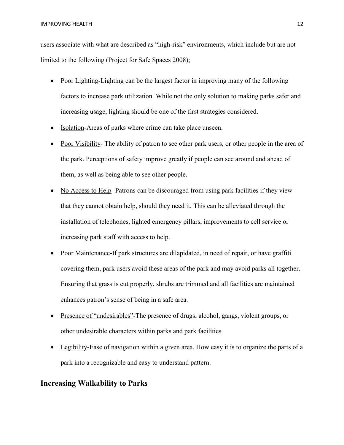users associate with what are described as "high-risk" environments, which include but are not limited to the following (Project for Safe Spaces 2008);

- Poor Lighting-Lighting can be the largest factor in improving many of the following factors to increase park utilization. While not the only solution to making parks safer and increasing usage, lighting should be one of the first strategies considered.
- Isolation-Areas of parks where crime can take place unseen.
- Poor Visibility- The ability of patron to see other park users, or other people in the area of the park. Perceptions of safety improve greatly if people can see around and ahead of them, as well as being able to see other people.
- No Access to Help- Patrons can be discouraged from using park facilities if they view that they cannot obtain help, should they need it. This can be alleviated through the installation of telephones, lighted emergency pillars, improvements to cell service or increasing park staff with access to help.
- Poor Maintenance-If park structures are dilapidated, in need of repair, or have graffiti covering them, park users avoid these areas of the park and may avoid parks all together. Ensuring that grass is cut properly, shrubs are trimmed and all facilities are maintained enhances patron's sense of being in a safe area.
- Presence of "undesirables"-The presence of drugs, alcohol, gangs, violent groups, or other undesirable characters within parks and park facilities
- Legibility-Ease of navigation within a given area. How easy it is to organize the parts of a park into a recognizable and easy to understand pattern.

# **Increasing Walkability to Parks**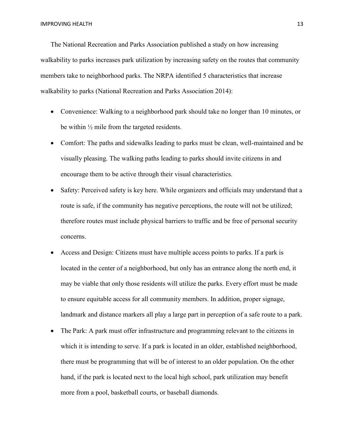The National Recreation and Parks Association published a study on how increasing walkability to parks increases park utilization by increasing safety on the routes that community members take to neighborhood parks. The NRPA identified 5 characteristics that increase walkability to parks (National Recreation and Parks Association 2014):

- Convenience: Walking to a neighborhood park should take no longer than 10 minutes, or be within  $\frac{1}{2}$  mile from the targeted residents.
- Comfort: The paths and sidewalks leading to parks must be clean, well-maintained and be visually pleasing. The walking paths leading to parks should invite citizens in and encourage them to be active through their visual characteristics.
- Safety: Perceived safety is key here. While organizers and officials may understand that a route is safe, if the community has negative perceptions, the route will not be utilized; therefore routes must include physical barriers to traffic and be free of personal security concerns.
- Access and Design: Citizens must have multiple access points to parks. If a park is located in the center of a neighborhood, but only has an entrance along the north end, it may be viable that only those residents will utilize the parks. Every effort must be made to ensure equitable access for all community members. In addition, proper signage, landmark and distance markers all play a large part in perception of a safe route to a park.
- The Park: A park must offer infrastructure and programming relevant to the citizens in which it is intending to serve. If a park is located in an older, established neighborhood, there must be programming that will be of interest to an older population. On the other hand, if the park is located next to the local high school, park utilization may benefit more from a pool, basketball courts, or baseball diamonds.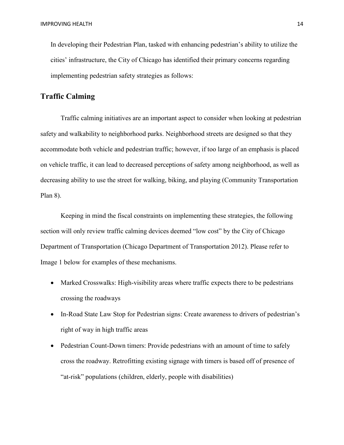In developing their Pedestrian Plan, tasked with enhancing pedestrian's ability to utilize the cities' infrastructure, the City of Chicago has identified their primary concerns regarding implementing pedestrian safety strategies as follows:

# **Traffic Calming**

Traffic calming initiatives are an important aspect to consider when looking at pedestrian safety and walkability to neighborhood parks. Neighborhood streets are designed so that they accommodate both vehicle and pedestrian traffic; however, if too large of an emphasis is placed on vehicle traffic, it can lead to decreased perceptions of safety among neighborhood, as well as decreasing ability to use the street for walking, biking, and playing (Community Transportation Plan 8).

Keeping in mind the fiscal constraints on implementing these strategies, the following section will only review traffic calming devices deemed "low cost" by the City of Chicago Department of Transportation (Chicago Department of Transportation 2012). Please refer to Image 1 below for examples of these mechanisms.

- Marked Crosswalks: High-visibility areas where traffic expects there to be pedestrians crossing the roadways
- In-Road State Law Stop for Pedestrian signs: Create awareness to drivers of pedestrian's right of way in high traffic areas
- Pedestrian Count-Down timers: Provide pedestrians with an amount of time to safely cross the roadway. Retrofitting existing signage with timers is based off of presence of "at-risk" populations (children, elderly, people with disabilities)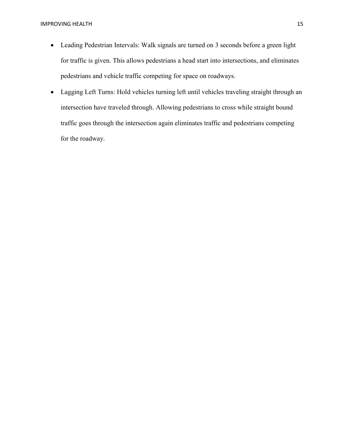- Leading Pedestrian Intervals: Walk signals are turned on 3 seconds before a green light for traffic is given. This allows pedestrians a head start into intersections, and eliminates pedestrians and vehicle traffic competing for space on roadways.
- Lagging Left Turns: Hold vehicles turning left until vehicles traveling straight through an intersection have traveled through. Allowing pedestrians to cross while straight bound traffic goes through the intersection again eliminates traffic and pedestrians competing for the roadway.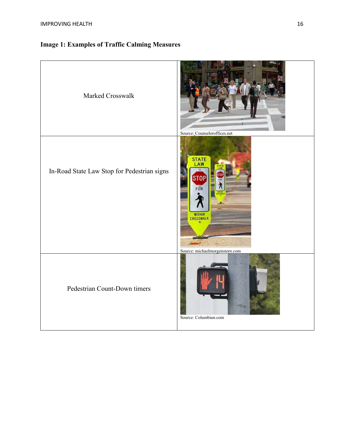| Marked Crosswalk                            | Source: Counseloroffices.net                                                          |
|---------------------------------------------|---------------------------------------------------------------------------------------|
| In-Road State Law Stop for Pedestrian signs | <b>STATE</b><br>.AW<br>STOF<br>FOR<br><b>WITHIN</b><br>Source: michaelmorgenstern.com |
| Pedestrian Count-Down timers                | Source: Columbian.com                                                                 |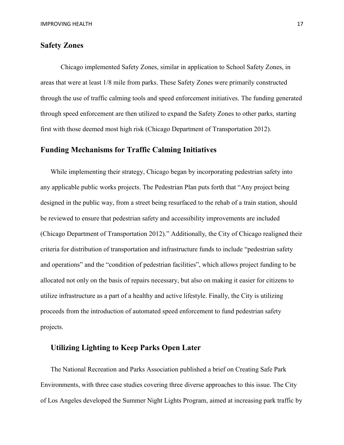#### **Safety Zones**

Chicago implemented Safety Zones, similar in application to School Safety Zones, in areas that were at least 1/8 mile from parks. These Safety Zones were primarily constructed through the use of traffic calming tools and speed enforcement initiatives. The funding generated through speed enforcement are then utilized to expand the Safety Zones to other parks, starting first with those deemed most high risk (Chicago Department of Transportation 2012).

# **Funding Mechanisms for Traffic Calming Initiatives**

While implementing their strategy, Chicago began by incorporating pedestrian safety into any applicable public works projects. The Pedestrian Plan puts forth that "Any project being designed in the public way, from a street being resurfaced to the rehab of a train station, should be reviewed to ensure that pedestrian safety and accessibility improvements are included (Chicago Department of Transportation 2012)." Additionally, the City of Chicago realigned their criteria for distribution of transportation and infrastructure funds to include "pedestrian safety and operations" and the "condition of pedestrian facilities", which allows project funding to be allocated not only on the basis of repairs necessary, but also on making it easier for citizens to utilize infrastructure as a part of a healthy and active lifestyle. Finally, the City is utilizing proceeds from the introduction of automated speed enforcement to fund pedestrian safety projects.

# **Utilizing Lighting to Keep Parks Open Later**

The National Recreation and Parks Association published a brief on Creating Safe Park Environments, with three case studies covering three diverse approaches to this issue. The City of Los Angeles developed the Summer Night Lights Program, aimed at increasing park traffic by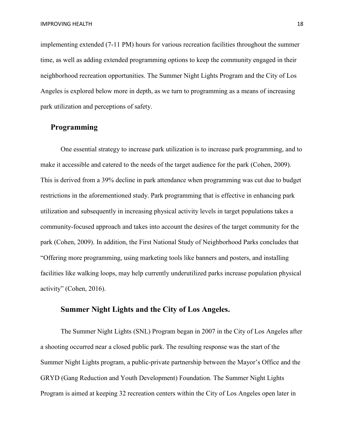implementing extended (7-11 PM) hours for various recreation facilities throughout the summer time, as well as adding extended programming options to keep the community engaged in their neighborhood recreation opportunities. The Summer Night Lights Program and the City of Los Angeles is explored below more in depth, as we turn to programming as a means of increasing park utilization and perceptions of safety.

# **Programming**

One essential strategy to increase park utilization is to increase park programming, and to make it accessible and catered to the needs of the target audience for the park (Cohen, 2009). This is derived from a 39% decline in park attendance when programming was cut due to budget restrictions in the aforementioned study. Park programming that is effective in enhancing park utilization and subsequently in increasing physical activity levels in target populations takes a community-focused approach and takes into account the desires of the target community for the park (Cohen, 2009). In addition, the First National Study of Neighborhood Parks concludes that "Offering more programming, using marketing tools like banners and posters, and installing facilities like walking loops, may help currently underutilized parks increase population physical activity" (Cohen, 2016).

#### **Summer Night Lights and the City of Los Angeles.**

The Summer Night Lights (SNL) Program began in 2007 in the City of Los Angeles after a shooting occurred near a closed public park. The resulting response was the start of the Summer Night Lights program, a public-private partnership between the Mayor's Office and the GRYD (Gang Reduction and Youth Development) Foundation. The Summer Night Lights Program is aimed at keeping 32 recreation centers within the City of Los Angeles open later in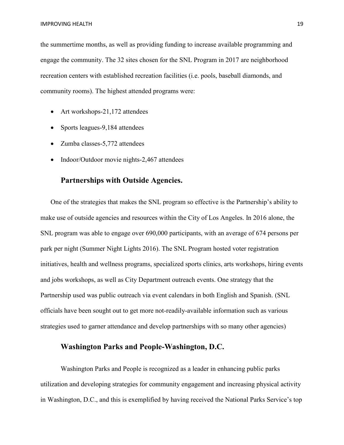the summertime months, as well as providing funding to increase available programming and engage the community. The 32 sites chosen for the SNL Program in 2017 are neighborhood recreation centers with established recreation facilities (i.e. pools, baseball diamonds, and community rooms). The highest attended programs were:

- Art workshops-21,172 attendees
- Sports leagues-9,184 attendees
- Zumba classes-5,772 attendees
- Indoor/Outdoor movie nights-2,467 attendees

# **Partnerships with Outside Agencies.**

One of the strategies that makes the SNL program so effective is the Partnership's ability to make use of outside agencies and resources within the City of Los Angeles. In 2016 alone, the SNL program was able to engage over 690,000 participants, with an average of 674 persons per park per night (Summer Night Lights 2016). The SNL Program hosted voter registration initiatives, health and wellness programs, specialized sports clinics, arts workshops, hiring events and jobs workshops, as well as City Department outreach events. One strategy that the Partnership used was public outreach via event calendars in both English and Spanish. (SNL officials have been sought out to get more not-readily-available information such as various strategies used to garner attendance and develop partnerships with so many other agencies)

#### **Washington Parks and People-Washington, D.C.**

Washington Parks and People is recognized as a leader in enhancing public parks utilization and developing strategies for community engagement and increasing physical activity in Washington, D.C., and this is exemplified by having received the National Parks Service's top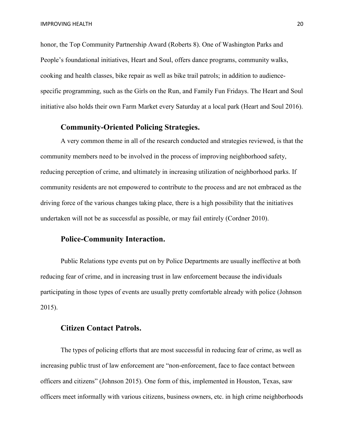honor, the Top Community Partnership Award (Roberts 8). One of Washington Parks and People's foundational initiatives, Heart and Soul, offers dance programs, community walks, cooking and health classes, bike repair as well as bike trail patrols; in addition to audiencespecific programming, such as the Girls on the Run, and Family Fun Fridays. The Heart and Soul initiative also holds their own Farm Market every Saturday at a local park (Heart and Soul 2016).

# **Community-Oriented Policing Strategies.**

A very common theme in all of the research conducted and strategies reviewed, is that the community members need to be involved in the process of improving neighborhood safety, reducing perception of crime, and ultimately in increasing utilization of neighborhood parks. If community residents are not empowered to contribute to the process and are not embraced as the driving force of the various changes taking place, there is a high possibility that the initiatives undertaken will not be as successful as possible, or may fail entirely (Cordner 2010).

# **Police-Community Interaction.**

Public Relations type events put on by Police Departments are usually ineffective at both reducing fear of crime, and in increasing trust in law enforcement because the individuals participating in those types of events are usually pretty comfortable already with police (Johnson 2015).

#### **Citizen Contact Patrols.**

The types of policing efforts that are most successful in reducing fear of crime, as well as increasing public trust of law enforcement are "non-enforcement, face to face contact between officers and citizens" (Johnson 2015). One form of this, implemented in Houston, Texas, saw officers meet informally with various citizens, business owners, etc. in high crime neighborhoods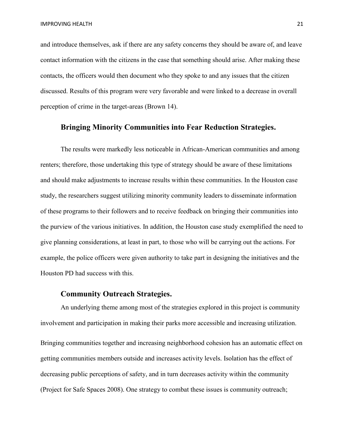and introduce themselves, ask if there are any safety concerns they should be aware of, and leave contact information with the citizens in the case that something should arise. After making these contacts, the officers would then document who they spoke to and any issues that the citizen discussed. Results of this program were very favorable and were linked to a decrease in overall perception of crime in the target-areas (Brown 14).

#### **Bringing Minority Communities into Fear Reduction Strategies.**

The results were markedly less noticeable in African-American communities and among renters; therefore, those undertaking this type of strategy should be aware of these limitations and should make adjustments to increase results within these communities. In the Houston case study, the researchers suggest utilizing minority community leaders to disseminate information of these programs to their followers and to receive feedback on bringing their communities into the purview of the various initiatives. In addition, the Houston case study exemplified the need to give planning considerations, at least in part, to those who will be carrying out the actions. For example, the police officers were given authority to take part in designing the initiatives and the Houston PD had success with this.

### **Community Outreach Strategies.**

An underlying theme among most of the strategies explored in this project is community involvement and participation in making their parks more accessible and increasing utilization. Bringing communities together and increasing neighborhood cohesion has an automatic effect on getting communities members outside and increases activity levels. Isolation has the effect of decreasing public perceptions of safety, and in turn decreases activity within the community (Project for Safe Spaces 2008). One strategy to combat these issues is community outreach;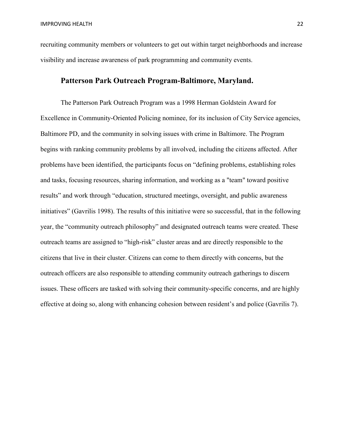recruiting community members or volunteers to get out within target neighborhoods and increase visibility and increase awareness of park programming and community events.

#### **Patterson Park Outreach Program-Baltimore, Maryland.**

The Patterson Park Outreach Program was a 1998 Herman Goldstein Award for Excellence in Community-Oriented Policing nominee, for its inclusion of City Service agencies, Baltimore PD, and the community in solving issues with crime in Baltimore. The Program begins with ranking community problems by all involved, including the citizens affected. After problems have been identified, the participants focus on "defining problems, establishing roles and tasks, focusing resources, sharing information, and working as a "team" toward positive results" and work through "education, structured meetings, oversight, and public awareness initiatives" (Gavrilis 1998). The results of this initiative were so successful, that in the following year, the "community outreach philosophy" and designated outreach teams were created. These outreach teams are assigned to "high-risk" cluster areas and are directly responsible to the citizens that live in their cluster. Citizens can come to them directly with concerns, but the outreach officers are also responsible to attending community outreach gatherings to discern issues. These officers are tasked with solving their community-specific concerns, and are highly effective at doing so, along with enhancing cohesion between resident's and police (Gavrilis 7).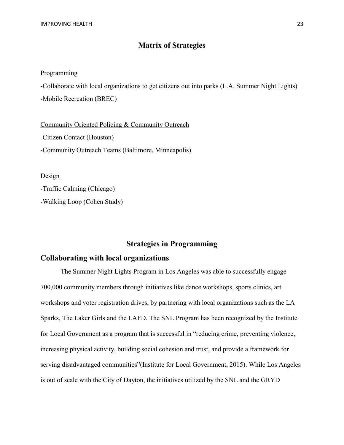# **Matrix of Strategies**

#### **Programming**

-Collaborate with local organizations to get citizens out into parks (L.A. Summer Night Lights) -Mobile Recreation (BREC)

Community Oriented Policing & Community Outreach -Citizen Contact (Houston) -Community Outreach Teams (Baltimore, Minneapolis)

Design

-Traffic Calming (Chicago)

-Walking Loop (Cohen Study)

#### **Strategies in Programming**

# **Collaborating with local organizations**

The Summer Night Lights Program in Los Angeles was able to successfully engage 700,000 community members through initiatives like dance workshops, sports clinics, art workshops and voter registration drives, by partnering with local organizations such as the LA Sparks, The Laker Girls and the LAFD. The SNL Program has been recognized by the Institute for Local Government as a program that is successful in "reducing crime, preventing violence, increasing physical activity, building social cohesion and trust, and provide a framework for serving disadvantaged communities"(Institute for Local Government, 2015). While Los Angeles is out of scale with the City of Dayton, the initiatives utilized by the SNL and the GRYD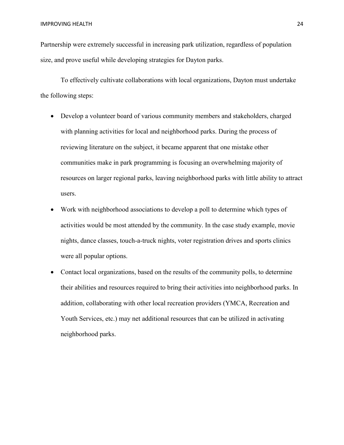Partnership were extremely successful in increasing park utilization, regardless of population size, and prove useful while developing strategies for Dayton parks.

To effectively cultivate collaborations with local organizations, Dayton must undertake the following steps:

- Develop a volunteer board of various community members and stakeholders, charged with planning activities for local and neighborhood parks. During the process of reviewing literature on the subject, it became apparent that one mistake other communities make in park programming is focusing an overwhelming majority of resources on larger regional parks, leaving neighborhood parks with little ability to attract users.
- Work with neighborhood associations to develop a poll to determine which types of activities would be most attended by the community. In the case study example, movie nights, dance classes, touch-a-truck nights, voter registration drives and sports clinics were all popular options.
- Contact local organizations, based on the results of the community polls, to determine their abilities and resources required to bring their activities into neighborhood parks. In addition, collaborating with other local recreation providers (YMCA, Recreation and Youth Services, etc.) may net additional resources that can be utilized in activating neighborhood parks.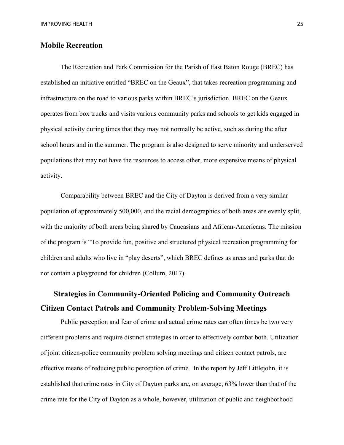# **Mobile Recreation**

The Recreation and Park Commission for the Parish of East Baton Rouge (BREC) has established an initiative entitled "BREC on the Geaux", that takes recreation programming and infrastructure on the road to various parks within BREC's jurisdiction. BREC on the Geaux operates from box trucks and visits various community parks and schools to get kids engaged in physical activity during times that they may not normally be active, such as during the after school hours and in the summer. The program is also designed to serve minority and underserved populations that may not have the resources to access other, more expensive means of physical activity.

Comparability between BREC and the City of Dayton is derived from a very similar population of approximately 500,000, and the racial demographics of both areas are evenly split, with the majority of both areas being shared by Caucasians and African-Americans. The mission of the program is "To provide fun, positive and structured physical recreation programming for children and adults who live in "play deserts", which BREC defines as areas and parks that do not contain a playground for children (Collum, 2017).

# **Strategies in Community-Oriented Policing and Community Outreach Citizen Contact Patrols and Community Problem-Solving Meetings**

Public perception and fear of crime and actual crime rates can often times be two very different problems and require distinct strategies in order to effectively combat both. Utilization of joint citizen-police community problem solving meetings and citizen contact patrols, are effective means of reducing public perception of crime. In the report by Jeff Littlejohn, it is established that crime rates in City of Dayton parks are, on average, 63% lower than that of the crime rate for the City of Dayton as a whole, however, utilization of public and neighborhood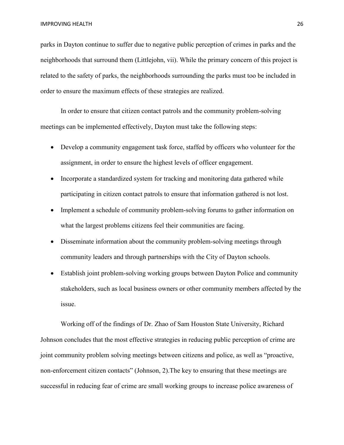parks in Dayton continue to suffer due to negative public perception of crimes in parks and the neighborhoods that surround them (Littlejohn, vii). While the primary concern of this project is related to the safety of parks, the neighborhoods surrounding the parks must too be included in order to ensure the maximum effects of these strategies are realized.

In order to ensure that citizen contact patrols and the community problem-solving meetings can be implemented effectively, Dayton must take the following steps:

- Develop a community engagement task force, staffed by officers who volunteer for the assignment, in order to ensure the highest levels of officer engagement.
- Incorporate a standardized system for tracking and monitoring data gathered while participating in citizen contact patrols to ensure that information gathered is not lost.
- Implement a schedule of community problem-solving forums to gather information on what the largest problems citizens feel their communities are facing.
- Disseminate information about the community problem-solving meetings through community leaders and through partnerships with the City of Dayton schools.
- Establish joint problem-solving working groups between Dayton Police and community stakeholders, such as local business owners or other community members affected by the issue.

Working off of the findings of Dr. Zhao of Sam Houston State University, Richard Johnson concludes that the most effective strategies in reducing public perception of crime are joint community problem solving meetings between citizens and police, as well as "proactive, non-enforcement citizen contacts" (Johnson, 2).The key to ensuring that these meetings are successful in reducing fear of crime are small working groups to increase police awareness of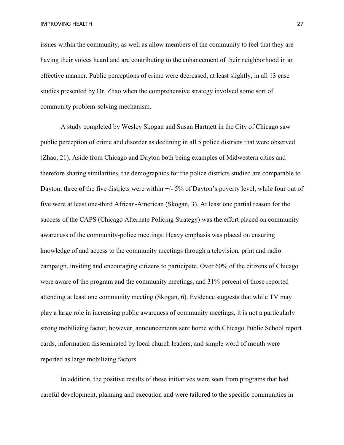issues within the community, as well as allow members of the community to feel that they are having their voices heard and are contributing to the enhancement of their neighborhood in an effective manner. Public perceptions of crime were decreased, at least slightly, in all 13 case studies presented by Dr. Zhao when the comprehensive strategy involved some sort of community problem-solving mechanism.

A study completed by Wesley Skogan and Susan Hartnett in the City of Chicago saw public perception of crime and disorder as declining in all 5 police districts that were observed (Zhao, 21). Aside from Chicago and Dayton both being examples of Midwestern cities and therefore sharing similarities, the demographics for the police districts studied are comparable to Dayton; three of the five districts were within  $+/-5\%$  of Dayton's poverty level, while four out of five were at least one-third African-American (Skogan, 3). At least one partial reason for the success of the CAPS (Chicago Alternate Policing Strategy) was the effort placed on community awareness of the community-police meetings. Heavy emphasis was placed on ensuring knowledge of and access to the community meetings through a television, print and radio campaign, inviting and encouraging citizens to participate. Over 60% of the citizens of Chicago were aware of the program and the community meetings, and 31% percent of those reported attending at least one community meeting (Skogan, 6). Evidence suggests that while TV may play a large role in increasing public awareness of community meetings, it is not a particularly strong mobilizing factor, however, announcements sent home with Chicago Public School report cards, information disseminated by local church leaders, and simple word of mouth were reported as large mobilizing factors.

In addition, the positive results of these initiatives were seen from programs that had careful development, planning and execution and were tailored to the specific communities in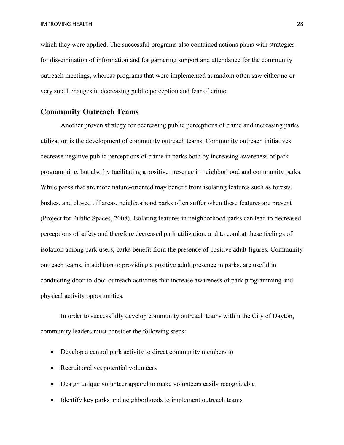which they were applied. The successful programs also contained actions plans with strategies for dissemination of information and for garnering support and attendance for the community outreach meetings, whereas programs that were implemented at random often saw either no or very small changes in decreasing public perception and fear of crime.

#### **Community Outreach Teams**

Another proven strategy for decreasing public perceptions of crime and increasing parks utilization is the development of community outreach teams. Community outreach initiatives decrease negative public perceptions of crime in parks both by increasing awareness of park programming, but also by facilitating a positive presence in neighborhood and community parks. While parks that are more nature-oriented may benefit from isolating features such as forests, bushes, and closed off areas, neighborhood parks often suffer when these features are present (Project for Public Spaces, 2008). Isolating features in neighborhood parks can lead to decreased perceptions of safety and therefore decreased park utilization, and to combat these feelings of isolation among park users, parks benefit from the presence of positive adult figures. Community outreach teams, in addition to providing a positive adult presence in parks, are useful in conducting door-to-door outreach activities that increase awareness of park programming and physical activity opportunities.

In order to successfully develop community outreach teams within the City of Dayton, community leaders must consider the following steps:

- Develop a central park activity to direct community members to
- Recruit and vet potential volunteers
- Design unique volunteer apparel to make volunteers easily recognizable
- Identify key parks and neighborhoods to implement outreach teams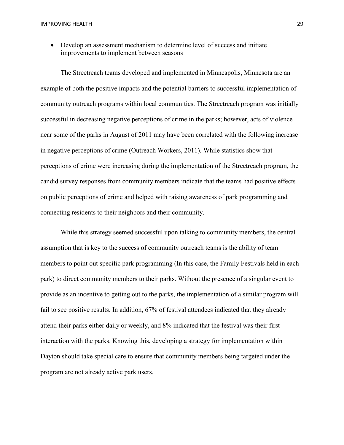• Develop an assessment mechanism to determine level of success and initiate improvements to implement between seasons

The Streetreach teams developed and implemented in Minneapolis, Minnesota are an example of both the positive impacts and the potential barriers to successful implementation of community outreach programs within local communities. The Streetreach program was initially successful in decreasing negative perceptions of crime in the parks; however, acts of violence near some of the parks in August of 2011 may have been correlated with the following increase in negative perceptions of crime (Outreach Workers, 2011). While statistics show that perceptions of crime were increasing during the implementation of the Streetreach program, the candid survey responses from community members indicate that the teams had positive effects on public perceptions of crime and helped with raising awareness of park programming and connecting residents to their neighbors and their community.

While this strategy seemed successful upon talking to community members, the central assumption that is key to the success of community outreach teams is the ability of team members to point out specific park programming (In this case, the Family Festivals held in each park) to direct community members to their parks. Without the presence of a singular event to provide as an incentive to getting out to the parks, the implementation of a similar program will fail to see positive results. In addition, 67% of festival attendees indicated that they already attend their parks either daily or weekly, and 8% indicated that the festival was their first interaction with the parks. Knowing this, developing a strategy for implementation within Dayton should take special care to ensure that community members being targeted under the program are not already active park users.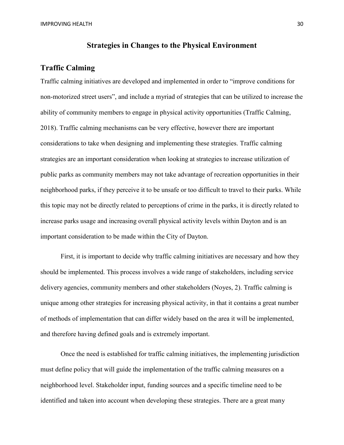#### **Strategies in Changes to the Physical Environment**

#### **Traffic Calming**

Traffic calming initiatives are developed and implemented in order to "improve conditions for non-motorized street users", and include a myriad of strategies that can be utilized to increase the ability of community members to engage in physical activity opportunities (Traffic Calming, 2018). Traffic calming mechanisms can be very effective, however there are important considerations to take when designing and implementing these strategies. Traffic calming strategies are an important consideration when looking at strategies to increase utilization of public parks as community members may not take advantage of recreation opportunities in their neighborhood parks, if they perceive it to be unsafe or too difficult to travel to their parks. While this topic may not be directly related to perceptions of crime in the parks, it is directly related to increase parks usage and increasing overall physical activity levels within Dayton and is an important consideration to be made within the City of Dayton.

First, it is important to decide why traffic calming initiatives are necessary and how they should be implemented. This process involves a wide range of stakeholders, including service delivery agencies, community members and other stakeholders (Noyes, 2). Traffic calming is unique among other strategies for increasing physical activity, in that it contains a great number of methods of implementation that can differ widely based on the area it will be implemented, and therefore having defined goals and is extremely important.

Once the need is established for traffic calming initiatives, the implementing jurisdiction must define policy that will guide the implementation of the traffic calming measures on a neighborhood level. Stakeholder input, funding sources and a specific timeline need to be identified and taken into account when developing these strategies. There are a great many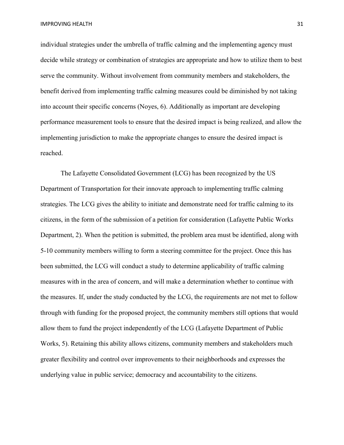individual strategies under the umbrella of traffic calming and the implementing agency must decide while strategy or combination of strategies are appropriate and how to utilize them to best serve the community. Without involvement from community members and stakeholders, the benefit derived from implementing traffic calming measures could be diminished by not taking into account their specific concerns (Noyes, 6). Additionally as important are developing performance measurement tools to ensure that the desired impact is being realized, and allow the implementing jurisdiction to make the appropriate changes to ensure the desired impact is reached.

The Lafayette Consolidated Government (LCG) has been recognized by the US Department of Transportation for their innovate approach to implementing traffic calming strategies. The LCG gives the ability to initiate and demonstrate need for traffic calming to its citizens, in the form of the submission of a petition for consideration (Lafayette Public Works Department, 2). When the petition is submitted, the problem area must be identified, along with 5-10 community members willing to form a steering committee for the project. Once this has been submitted, the LCG will conduct a study to determine applicability of traffic calming measures with in the area of concern, and will make a determination whether to continue with the measures. If, under the study conducted by the LCG, the requirements are not met to follow through with funding for the proposed project, the community members still options that would allow them to fund the project independently of the LCG (Lafayette Department of Public Works, 5). Retaining this ability allows citizens, community members and stakeholders much greater flexibility and control over improvements to their neighborhoods and expresses the underlying value in public service; democracy and accountability to the citizens.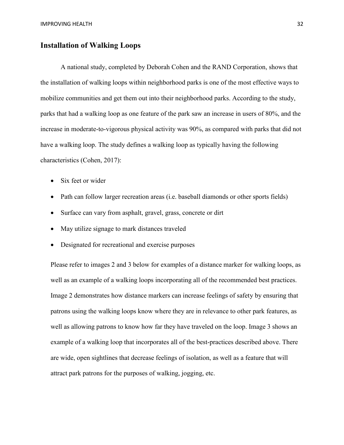# **Installation of Walking Loops**

A national study, completed by Deborah Cohen and the RAND Corporation, shows that the installation of walking loops within neighborhood parks is one of the most effective ways to mobilize communities and get them out into their neighborhood parks. According to the study, parks that had a walking loop as one feature of the park saw an increase in users of 80%, and the increase in moderate-to-vigorous physical activity was 90%, as compared with parks that did not have a walking loop. The study defines a walking loop as typically having the following characteristics (Cohen, 2017):

- Six feet or wider
- Path can follow larger recreation areas (i.e. baseball diamonds or other sports fields)
- Surface can vary from asphalt, gravel, grass, concrete or dirt
- May utilize signage to mark distances traveled
- Designated for recreational and exercise purposes

Please refer to images 2 and 3 below for examples of a distance marker for walking loops, as well as an example of a walking loops incorporating all of the recommended best practices. Image 2 demonstrates how distance markers can increase feelings of safety by ensuring that patrons using the walking loops know where they are in relevance to other park features, as well as allowing patrons to know how far they have traveled on the loop. Image 3 shows an example of a walking loop that incorporates all of the best-practices described above. There are wide, open sightlines that decrease feelings of isolation, as well as a feature that will attract park patrons for the purposes of walking, jogging, etc.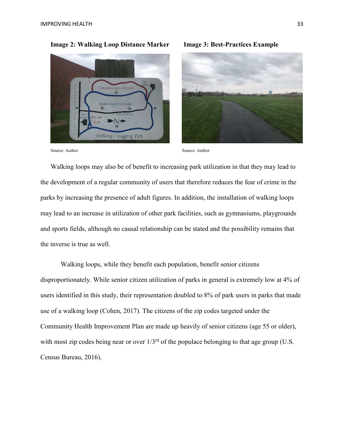

**Image 2: Walking Loop Distance Marker Image 3: Best-Practices Example**



Source: Author Source: Author

Walking loops may also be of benefit to increasing park utilization in that they may lead to the development of a regular community of users that therefore reduces the fear of crime in the parks by increasing the presence of adult figures. In addition, the installation of walking loops may lead to an increase in utilization of other park facilities, such as gymnasiums, playgrounds and sports fields, although no causal relationship can be stated and the possibility remains that the inverse is true as well.

Walking loops, while they benefit each population, benefit senior citizens disproportionately. While senior citizen utilization of parks in general is extremely low at 4% of users identified in this study, their representation doubled to 8% of park users in parks that made use of a walking loop (Cohen, 2017). The citizens of the zip codes targeted under the Community Health Improvement Plan are made up heavily of senior citizens (age 55 or older), with most zip codes being near or over  $1/3^{rd}$  of the populace belonging to that age group (U.S. Census Bureau, 2016).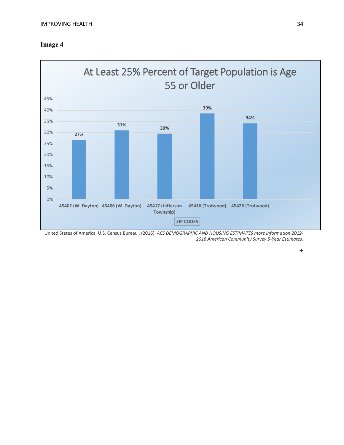



United States of America, U.S. Census Bureau . (2016). *ACS DEMOGRAPHIC AND HOUSING ESTIMATES more information 2012- 2016 American Community Survey 5-Year Estimates*.

 $+$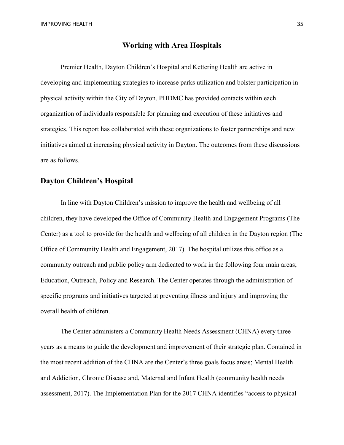#### **Working with Area Hospitals**

Premier Health, Dayton Children's Hospital and Kettering Health are active in developing and implementing strategies to increase parks utilization and bolster participation in physical activity within the City of Dayton. PHDMC has provided contacts within each organization of individuals responsible for planning and execution of these initiatives and strategies. This report has collaborated with these organizations to foster partnerships and new initiatives aimed at increasing physical activity in Dayton. The outcomes from these discussions are as follows.

# **Dayton Children's Hospital**

In line with Dayton Children's mission to improve the health and wellbeing of all children, they have developed the Office of Community Health and Engagement Programs (The Center) as a tool to provide for the health and wellbeing of all children in the Dayton region (The Office of Community Health and Engagement, 2017). The hospital utilizes this office as a community outreach and public policy arm dedicated to work in the following four main areas; Education, Outreach, Policy and Research. The Center operates through the administration of specific programs and initiatives targeted at preventing illness and injury and improving the overall health of children.

The Center administers a Community Health Needs Assessment (CHNA) every three years as a means to guide the development and improvement of their strategic plan. Contained in the most recent addition of the CHNA are the Center's three goals focus areas; Mental Health and Addiction, Chronic Disease and, Maternal and Infant Health (community health needs assessment, 2017). The Implementation Plan for the 2017 CHNA identifies "access to physical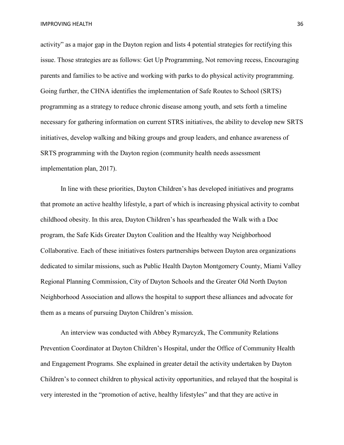activity" as a major gap in the Dayton region and lists 4 potential strategies for rectifying this issue. Those strategies are as follows: Get Up Programming, Not removing recess, Encouraging parents and families to be active and working with parks to do physical activity programming. Going further, the CHNA identifies the implementation of Safe Routes to School (SRTS) programming as a strategy to reduce chronic disease among youth, and sets forth a timeline necessary for gathering information on current STRS initiatives, the ability to develop new SRTS initiatives, develop walking and biking groups and group leaders, and enhance awareness of SRTS programming with the Dayton region (community health needs assessment implementation plan, 2017).

In line with these priorities, Dayton Children's has developed initiatives and programs that promote an active healthy lifestyle, a part of which is increasing physical activity to combat childhood obesity. In this area, Dayton Children's has spearheaded the Walk with a Doc program, the Safe Kids Greater Dayton Coalition and the Healthy way Neighborhood Collaborative. Each of these initiatives fosters partnerships between Dayton area organizations dedicated to similar missions, such as Public Health Dayton Montgomery County, Miami Valley Regional Planning Commission, City of Dayton Schools and the Greater Old North Dayton Neighborhood Association and allows the hospital to support these alliances and advocate for them as a means of pursuing Dayton Children's mission.

An interview was conducted with Abbey Rymarcyzk, The Community Relations Prevention Coordinator at Dayton Children's Hospital, under the Office of Community Health and Engagement Programs. She explained in greater detail the activity undertaken by Dayton Children's to connect children to physical activity opportunities, and relayed that the hospital is very interested in the "promotion of active, healthy lifestyles" and that they are active in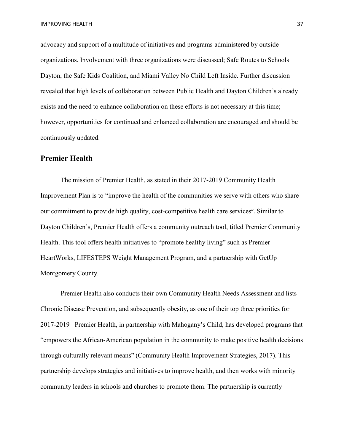advocacy and support of a multitude of initiatives and programs administered by outside organizations. Involvement with three organizations were discussed; Safe Routes to Schools Dayton, the Safe Kids Coalition, and Miami Valley No Child Left Inside. Further discussion revealed that high levels of collaboration between Public Health and Dayton Children's already exists and the need to enhance collaboration on these efforts is not necessary at this time; however, opportunities for continued and enhanced collaboration are encouraged and should be continuously updated.

# **Premier Health**

The mission of Premier Health, as stated in their 2017-2019 Community Health Improvement Plan is to "improve the health of the communities we serve with others who share our commitment to provide high quality, cost-competitive health care services". Similar to Dayton Children's, Premier Health offers a community outreach tool, titled Premier Community Health. This tool offers health initiatives to "promote healthy living" such as Premier HeartWorks, LIFESTEPS Weight Management Program, and a partnership with GetUp Montgomery County.

Premier Health also conducts their own Community Health Needs Assessment and lists Chronic Disease Prevention, and subsequently obesity, as one of their top three priorities for 2017-2019 Premier Health, in partnership with Mahogany's Child, has developed programs that "empowers the African-American population in the community to make positive health decisions through culturally relevant means" (Community Health Improvement Strategies, 2017). This partnership develops strategies and initiatives to improve health, and then works with minority community leaders in schools and churches to promote them. The partnership is currently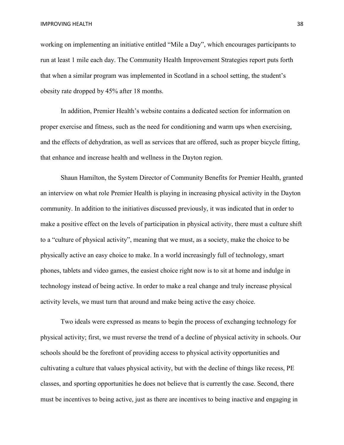working on implementing an initiative entitled "Mile a Day", which encourages participants to run at least 1 mile each day. The Community Health Improvement Strategies report puts forth that when a similar program was implemented in Scotland in a school setting, the student's obesity rate dropped by 45% after 18 months.

In addition, Premier Health's website contains a dedicated section for information on proper exercise and fitness, such as the need for conditioning and warm ups when exercising, and the effects of dehydration, as well as services that are offered, such as proper bicycle fitting, that enhance and increase health and wellness in the Dayton region.

Shaun Hamilton, the System Director of Community Benefits for Premier Health, granted an interview on what role Premier Health is playing in increasing physical activity in the Dayton community. In addition to the initiatives discussed previously, it was indicated that in order to make a positive effect on the levels of participation in physical activity, there must a culture shift to a "culture of physical activity", meaning that we must, as a society, make the choice to be physically active an easy choice to make. In a world increasingly full of technology, smart phones, tablets and video games, the easiest choice right now is to sit at home and indulge in technology instead of being active. In order to make a real change and truly increase physical activity levels, we must turn that around and make being active the easy choice.

Two ideals were expressed as means to begin the process of exchanging technology for physical activity; first, we must reverse the trend of a decline of physical activity in schools. Our schools should be the forefront of providing access to physical activity opportunities and cultivating a culture that values physical activity, but with the decline of things like recess, PE classes, and sporting opportunities he does not believe that is currently the case. Second, there must be incentives to being active, just as there are incentives to being inactive and engaging in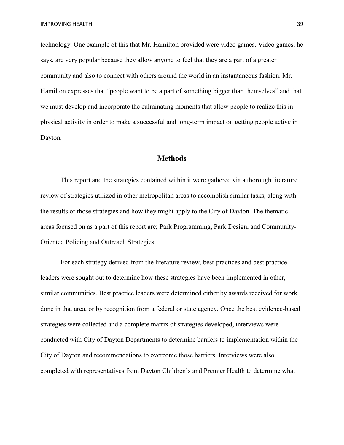technology. One example of this that Mr. Hamilton provided were video games. Video games, he says, are very popular because they allow anyone to feel that they are a part of a greater community and also to connect with others around the world in an instantaneous fashion. Mr. Hamilton expresses that "people want to be a part of something bigger than themselves" and that we must develop and incorporate the culminating moments that allow people to realize this in physical activity in order to make a successful and long-term impact on getting people active in Dayton.

# **Methods**

This report and the strategies contained within it were gathered via a thorough literature review of strategies utilized in other metropolitan areas to accomplish similar tasks, along with the results of those strategies and how they might apply to the City of Dayton. The thematic areas focused on as a part of this report are; Park Programming, Park Design, and Community-Oriented Policing and Outreach Strategies.

For each strategy derived from the literature review, best-practices and best practice leaders were sought out to determine how these strategies have been implemented in other, similar communities. Best practice leaders were determined either by awards received for work done in that area, or by recognition from a federal or state agency. Once the best evidence-based strategies were collected and a complete matrix of strategies developed, interviews were conducted with City of Dayton Departments to determine barriers to implementation within the City of Dayton and recommendations to overcome those barriers. Interviews were also completed with representatives from Dayton Children's and Premier Health to determine what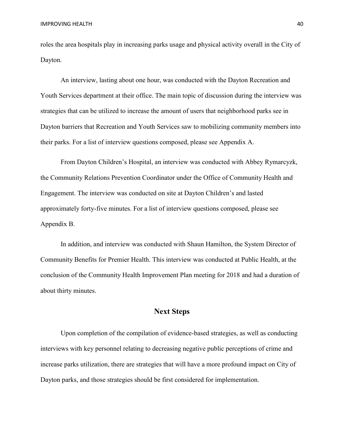roles the area hospitals play in increasing parks usage and physical activity overall in the City of Dayton.

An interview, lasting about one hour, was conducted with the Dayton Recreation and Youth Services department at their office. The main topic of discussion during the interview was strategies that can be utilized to increase the amount of users that neighborhood parks see in Dayton barriers that Recreation and Youth Services saw to mobilizing community members into their parks. For a list of interview questions composed, please see Appendix A.

From Dayton Children's Hospital, an interview was conducted with Abbey Rymarcyzk, the Community Relations Prevention Coordinator under the Office of Community Health and Engagement. The interview was conducted on site at Dayton Children's and lasted approximately forty-five minutes. For a list of interview questions composed, please see Appendix B.

In addition, and interview was conducted with Shaun Hamilton, the System Director of Community Benefits for Premier Health. This interview was conducted at Public Health, at the conclusion of the Community Health Improvement Plan meeting for 2018 and had a duration of about thirty minutes.

# **Next Steps**

Upon completion of the compilation of evidence-based strategies, as well as conducting interviews with key personnel relating to decreasing negative public perceptions of crime and increase parks utilization, there are strategies that will have a more profound impact on City of Dayton parks, and those strategies should be first considered for implementation.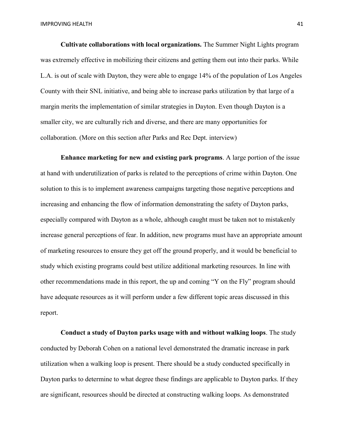**Cultivate collaborations with local organizations.** The Summer Night Lights program was extremely effective in mobilizing their citizens and getting them out into their parks. While L.A. is out of scale with Dayton, they were able to engage 14% of the population of Los Angeles County with their SNL initiative, and being able to increase parks utilization by that large of a margin merits the implementation of similar strategies in Dayton. Even though Dayton is a smaller city, we are culturally rich and diverse, and there are many opportunities for collaboration. (More on this section after Parks and Rec Dept. interview)

**Enhance marketing for new and existing park programs**. A large portion of the issue at hand with underutilization of parks is related to the perceptions of crime within Dayton. One solution to this is to implement awareness campaigns targeting those negative perceptions and increasing and enhancing the flow of information demonstrating the safety of Dayton parks, especially compared with Dayton as a whole, although caught must be taken not to mistakenly increase general perceptions of fear. In addition, new programs must have an appropriate amount of marketing resources to ensure they get off the ground properly, and it would be beneficial to study which existing programs could best utilize additional marketing resources. In line with other recommendations made in this report, the up and coming "Y on the Fly" program should have adequate resources as it will perform under a few different topic areas discussed in this report.

**Conduct a study of Dayton parks usage with and without walking loops**. The study conducted by Deborah Cohen on a national level demonstrated the dramatic increase in park utilization when a walking loop is present. There should be a study conducted specifically in Dayton parks to determine to what degree these findings are applicable to Dayton parks. If they are significant, resources should be directed at constructing walking loops. As demonstrated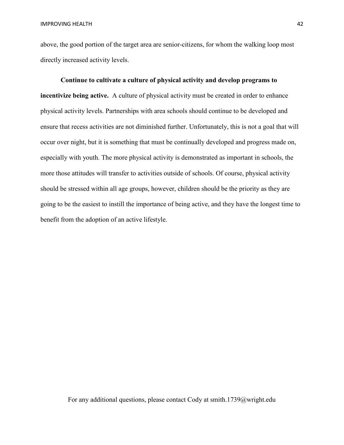above, the good portion of the target area are senior-citizens, for whom the walking loop most directly increased activity levels.

# **Continue to cultivate a culture of physical activity and develop programs to incentivize being active.** A culture of physical activity must be created in order to enhance physical activity levels. Partnerships with area schools should continue to be developed and ensure that recess activities are not diminished further. Unfortunately, this is not a goal that will occur over night, but it is something that must be continually developed and progress made on, especially with youth. The more physical activity is demonstrated as important in schools, the more those attitudes will transfer to activities outside of schools. Of course, physical activity should be stressed within all age groups, however, children should be the priority as they are going to be the easiest to instill the importance of being active, and they have the longest time to benefit from the adoption of an active lifestyle.

For any additional questions, please contact Cody at smith.1739@wright.edu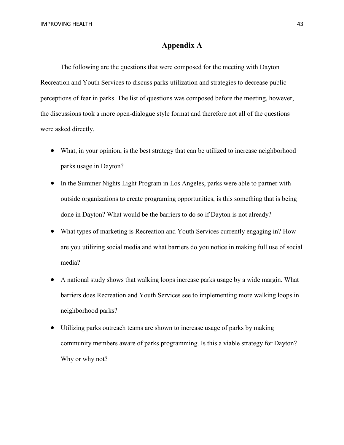# **Appendix A**

The following are the questions that were composed for the meeting with Dayton Recreation and Youth Services to discuss parks utilization and strategies to decrease public perceptions of fear in parks. The list of questions was composed before the meeting, however, the discussions took a more open-dialogue style format and therefore not all of the questions were asked directly.

- What, in your opinion, is the best strategy that can be utilized to increase neighborhood parks usage in Dayton?
- In the Summer Nights Light Program in Los Angeles, parks were able to partner with outside organizations to create programing opportunities, is this something that is being done in Dayton? What would be the barriers to do so if Dayton is not already?
- What types of marketing is Recreation and Youth Services currently engaging in? How are you utilizing social media and what barriers do you notice in making full use of social media?
- A national study shows that walking loops increase parks usage by a wide margin. What barriers does Recreation and Youth Services see to implementing more walking loops in neighborhood parks?
- Utilizing parks outreach teams are shown to increase usage of parks by making community members aware of parks programming. Is this a viable strategy for Dayton? Why or why not?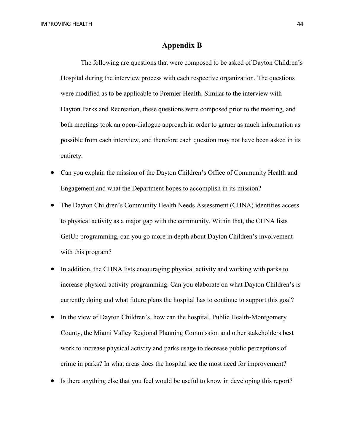#### **Appendix B**

The following are questions that were composed to be asked of Dayton Children's Hospital during the interview process with each respective organization. The questions were modified as to be applicable to Premier Health. Similar to the interview with Dayton Parks and Recreation, these questions were composed prior to the meeting, and both meetings took an open-dialogue approach in order to garner as much information as possible from each interview, and therefore each question may not have been asked in its entirety.

- Can you explain the mission of the Dayton Children's Office of Community Health and Engagement and what the Department hopes to accomplish in its mission?
- The Dayton Children's Community Health Needs Assessment (CHNA) identifies access to physical activity as a major gap with the community. Within that, the CHNA lists GetUp programming, can you go more in depth about Dayton Children's involvement with this program?
- In addition, the CHNA lists encouraging physical activity and working with parks to increase physical activity programming. Can you elaborate on what Dayton Children's is currently doing and what future plans the hospital has to continue to support this goal?
- In the view of Dayton Children's, how can the hospital, Public Health-Montgomery County, the Miami Valley Regional Planning Commission and other stakeholders best work to increase physical activity and parks usage to decrease public perceptions of crime in parks? In what areas does the hospital see the most need for improvement?
- Is there anything else that you feel would be useful to know in developing this report?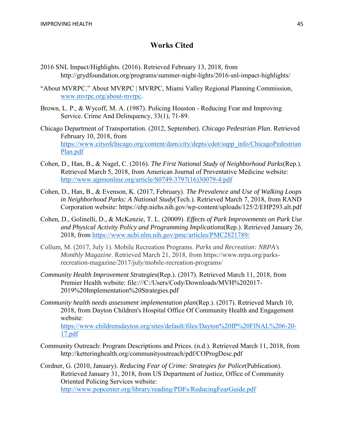# **Works Cited**

- 2016 SNL Impact/Highlights. (2016). Retrieved February 13, 2018, from http://grydfoundation.org/programs/summer-night-lights/2016-snl-impact-highlights/
- "About MVRPC." About MVRPC | MVRPC, Miami Valley Regional Planning Commission, [www.mvrpc.org/about-mvrpc.](http://www.mvrpc.org/about-mvrpc)
- Brown, L. P., & Wycoff, M. A. (1987). Policing Houston Reducing Fear and Improving Service. Crime And Delinquency, 33(1), 71-89.
- Chicago Department of Transportation. (2012, September). *Chicago Pedestrian Plan*. Retrieved February 10, 2018, from [https://www.cityofchicago.org/content/dam/city/depts/cdot/supp\\_info/ChicagoPedestrian](https://www.cityofchicago.org/content/dam/city/depts/cdot/supp_info/ChicagoPedestrianPlan.pdf) [Plan.pdf](https://www.cityofchicago.org/content/dam/city/depts/cdot/supp_info/ChicagoPedestrianPlan.pdf)
- Cohen, D., Han, B., & Nagel, C. (2016). *The First National Study of Neighborhood Parks*(Rep.). Retrieved March 5, 2018, from American Journal of Preventative Medicine website: [http://www.ajpmonline.org/article/S0749-3797\(16\)30079-4/pdf](http://www.ajpmonline.org/article/S0749-3797(16)30079-4/pdf)
- Cohen, D., Han, B., & Evenson, K. (2017, February). *The Prevalence and Use of Walking Loops in Neighborhood Parks: A National Study*(Tech.). Retrieved March 7, 2018, from RAND Corporation website: https://ehp.niehs.nih.gov/wp-content/uploads/125/2/EHP293.alt.pdf
- Cohen, D., Golinelli, D., & McKenzie, T. L. (20009). *Effects of Park Improvements on Park Use and Physical Activity Policy and Programming Implications*(Rep.). Retrieved January 26, 2018, from<https://www.ncbi.nlm.nih.gov/pmc/articles/PMC2821789/>
- Collum, M. (2017, July 1). Mobile Recreation Programs. *Parks and Recreation: NRPA's Monthly Magazine*. Retrieved March 21, 2018, from https://www.nrpa.org/parksrecreation-magazine/2017/july/mobile-recreation-programs/
- *Community Health Improvement Strategies*(Rep.). (2017). Retrieved March 11, 2018, from Premier Health website: file:///C:/Users/Cody/Downloads/MVH%202017- 2019%20Implementation%20Strategies.pdf
- *Community health needs assessment implementation plan*(Rep.). (2017). Retrieved March 10, 2018, from Dayton Children's Hospital Office Of Community Health and Engagement website: [https://www.childrensdayton.org/sites/default/files/Dayton%20IP%20FINAL%206-20-](https://www.childrensdayton.org/sites/default/files/Dayton%20IP%20FINAL%206-20-17.pdf)
- [17.pdf](https://www.childrensdayton.org/sites/default/files/Dayton%20IP%20FINAL%206-20-17.pdf) Community Outreach: Program Descriptions and Prices. (n.d.). Retrieved March 11, 2018, from http://ketteringhealth.org/communityoutreach/pdf/COProgDesc.pdf

Cordner, G. (2010, January). *Reducing Fear of Crime: Strategies for Police*(Publication). Retrieved January 31, 2018, from US Department of Justice, Office of Community Oriented Policing Services website: <http://www.popcenter.org/library/reading/PDFs/ReducingFearGuide.pdf>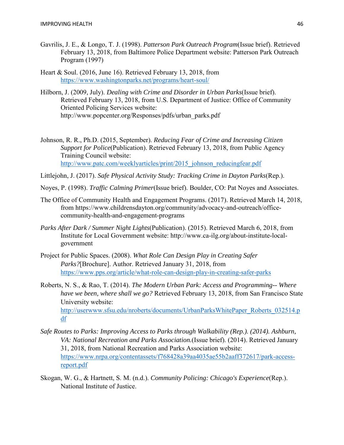- Gavrilis, J. E., & Longo, T. J. (1998). *Patterson Park Outreach Program*(Issue brief). Retrieved February 13, 2018, from Baltimore Police Department website: Patterson Park Outreach Program (1997)
- Heart & Soul. (2016, June 16). Retrieved February 13, 2018, from <https://www.washingtonparks.net/programs/heart-soul/>
- Hilborn, J. (2009, July). *Dealing with Crime and Disorder in Urban Parks*(Issue brief). Retrieved February 13, 2018, from U.S. Department of Justice: Office of Community Oriented Policing Services website: http://www.popcenter.org/Responses/pdfs/urban\_parks.pdf
- Johnson, R. R., Ph.D. (2015, September). *Reducing Fear of Crime and Increasing Citizen Support for Police*(Publication). Retrieved February 13, 2018, from Public Agency Training Council website: http://www.patc.com/weeklyarticles/print/2015 johnson reducingfear.pdf

Littlejohn, J. (2017). *Safe Physical Activity Study: Tracking Crime in Dayton Parks*(Rep.).

Noyes, P. (1998). *Traffic Calming Primer*(Issue brief). Boulder, CO: Pat Noyes and Associates.

- The Office of Community Health and Engagement Programs. (2017). Retrieved March 14, 2018, from https://www.childrensdayton.org/community/advocacy-and-outreach/officecommunity-health-and-engagement-programs
- *Parks After Dark / Summer Night Lights*(Publication). (2015). Retrieved March 6, 2018, from Institute for Local Government website: http://www.ca-ilg.org/about-institute-localgovernment
- Project for Public Spaces. (2008). *What Role Can Design Play in Creating Safer Parks?*[Brochure]. Author. Retrieved January 31, 2018, from <https://www.pps.org/article/what-role-can-design-play-in-creating-safer-parks>
- Roberts, N. S., & Rao, T. (2014). *The Modern Urban Park: Access and Programming-- Where have we been, where shall we go?* Retrieved February 13, 2018, from San Francisco State University website: [http://userwww.sfsu.edu/nroberts/documents/UrbanParksWhitePaper\\_Roberts\\_032514.p](http://userwww.sfsu.edu/nroberts/documents/UrbanParksWhitePaper_Roberts_032514.pdf) [df](http://userwww.sfsu.edu/nroberts/documents/UrbanParksWhitePaper_Roberts_032514.pdf)
- *Safe Routes to Parks: Improving Access to Parks through Walkability (Rep.). (2014). Ashburn, VA: National Recreation and Parks Association.*(Issue brief). (2014). Retrieved January 31, 2018, from National Recreation and Parks Association website: [https://www.nrpa.org/contentassets/f768428a39aa4035ae55b2aaff372617/park-access](https://www.nrpa.org/contentassets/f768428a39aa4035ae55b2aaff372617/park-access-report.pdf)[report.pdf](https://www.nrpa.org/contentassets/f768428a39aa4035ae55b2aaff372617/park-access-report.pdf)
- Skogan, W. G., & Hartnett, S. M. (n.d.). *Community Policing: Chicago's Experience*(Rep.). National Institute of Justice.